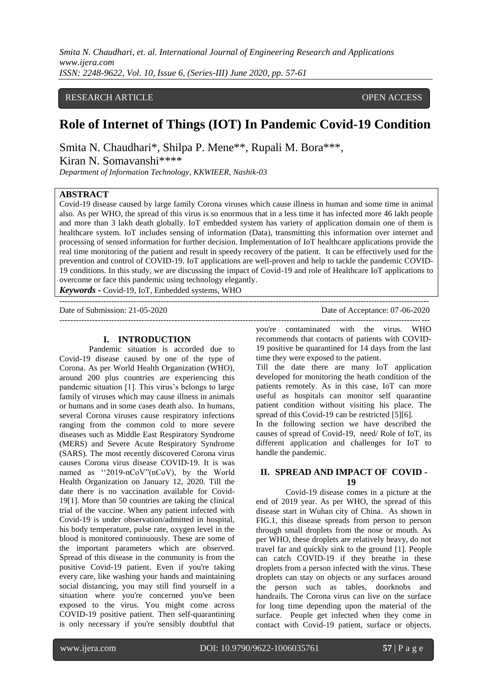*Smita N. Chaudhari, et. al. International Journal of Engineering Research and Applications www.ijera.com ISSN: 2248-9622, Vol. 10, Issue 6, (Series-III) June 2020, pp. 57-61*

## RESEARCH ARTICLE OPEN ACCESS

# **Role of Internet of Things (IOT) In Pandemic Covid-19 Condition**

Smita N. Chaudhari\*, Shilpa P. Mene\*\*, Rupali M. Bora\*\*\*,

Kiran N. Somavanshi\*\*\*\*

*Department of Information Technology, KKWIEER, Nashik-03*

## **ABSTRACT**

Covid-19 disease caused by large family Corona viruses which cause illness in human and some time in animal also. As per WHO, the spread of this virus is so enormous that in a less time it has infected more 46 lakh people and more than 3 lakh death globally. IoT embedded system has variety of application domain one of them is healthcare system*.* IoT includes sensing of information (Data), transmitting this information over internet and processing of sensed information for further decision. Implementation of IoT healthcare applications provide the real time monitoring of the patient and result in speedy recovery of the patient. It can be effectively used for the prevention and control of COVID-19. IoT applications are well-proven and help to tackle the pandemic COVID-19 conditions. In this study, we are discussing the impact of Covid-19 and role of Healthcare IoT applications to overcome or face this pandemic using technology elegantly.

---------------------------------------------------------------------------------------------------------------------------------------

---------------------------------------------------------------------------------------------------------------------------------------

*Keywords* **-** Covid-19, IoT, Embedded systems, WHO

#### **I. INTRODUCTION**

Pandemic situation is accorded due to Covid-19 disease caused by one of the type of Corona. As per World Health Organization (WHO), around 200 plus countries are experiencing this pandemic situation [1]. This virus's belongs to large family of viruses which may cause illness in animals or humans and in some cases death also. In humans, several Corona viruses cause respiratory infections ranging from the common cold to more severe diseases such as Middle East Respiratory Syndrome (MERS) and Severe Acute Respiratory Syndrome (SARS). The most recently discovered Corona virus causes Corona virus disease COVID-19. It is was named as "2019-nCoV"(nCoV), by the World Health Organization on January 12, 2020. Till the date there is no vaccination available for Covid-19[1]. More than 50 countries are taking the clinical trial of the vaccine. When any patient infected with Covid-19 is under observation/admitted in hospital, his body temperature, pulse rate, oxygen level in the blood is monitored continuously. These are some of the important parameters which are observed. Spread of this disease in the community is from the positive Covid-19 patient. Even if you're taking every care, like [washing your hands](https://www.houstonmethodist.org/blog/articles/2020/mar/hand-washing-why-it-matters/) and [maintaining](https://www.houstonmethodist.org/blog/articles/2020/mar/social-distancing-why-you-should-take-it-seriously-during-the-covid-19-outbreak/)  [social distancing,](https://www.houstonmethodist.org/blog/articles/2020/mar/social-distancing-why-you-should-take-it-seriously-during-the-covid-19-outbreak/) you may still find yourself in a situation where you're concerned you've been exposed to the virus. You might come across COVID-19 positive patient. Then self-quarantining is only necessary if you're sensibly doubtful that

Date of Submission: 21-05-2020 Date of Acceptance: 07-06-2020

you're contaminated with the virus. WHO recommends that contacts of patients with COVID-19 positive be quarantined for 14 days from the last time they were exposed to the patient.

Till the date there are many IoT application developed for monitoring the heath condition of the patients remotely. As in this case, IoT can more useful as hospitals can monitor self quarantine patient condition without visiting his place. The spread of this Covid-19 can be restricted [5][6].

In the following section we have described the causes of spread of Covid-19, need/ Role of IoT, its different application and challenges for IoT to handle the pandemic.

#### **II. SPREAD AND IMPACT OF COVID - 19**

Covid-19 disease comes in a picture at the end of 2019 year. As per WHO, the spread of this disease start in Wuhan city of China. As shown in FIG.1, this disease spreads from person to person through small droplets from the nose or mouth. As per WHO, these droplets are relatively heavy, do not travel far and quickly sink to the ground [1]. People can catch COVID-19 if they breathe in these droplets from a person infected with the virus. These droplets can stay on objects or any surfaces around the person such as tables, doorknobs and handrails. The Corona virus can live on the surface for long time depending upon the material of the surface. People get infected when they come in contact with Covid-19 patient, surface or objects.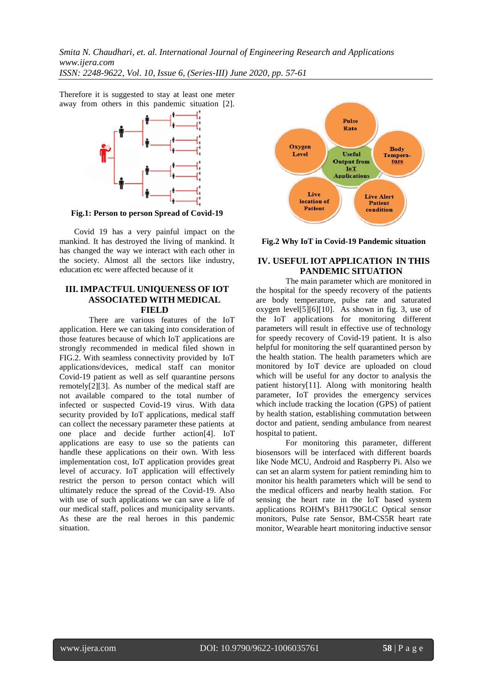*Smita N. Chaudhari, et. al. International Journal of Engineering Research and Applications www.ijera.com*

*ISSN: 2248-9622, Vol. 10, Issue 6, (Series-III) June 2020, pp. 57-61*

Therefore it is suggested to stay at least one meter away from others in this pandemic situation [2].



**Fig.1: Person to person Spread of Covid-19**

Covid 19 has a very painful impact on the mankind. It has destroyed the living of mankind. It has changed the way we interact with each other in the society. Almost all the sectors like industry, education etc were affected because of it

#### **III. IMPACTFUL UNIQUENESS OF IOT ASSOCIATED WITH MEDICAL FIELD**

There are various features of the IoT application. Here we can taking into consideration of those features because of which IoT applications are strongly recommended in medical filed shown in FIG.2. With seamless connectivity provided by IoT applications/devices, medical staff can monitor Covid-19 patient as well as self quarantine persons remotely[2][3]. As number of the medical staff are not available compared to the total number of infected or suspected Covid-19 virus. With data security provided by IoT applications, medical staff can collect the necessary parameter these patients at one place and decide further action[4]. IoT applications are easy to use so the patients can handle these applications on their own. With less implementation cost, IoT application provides great level of accuracy. IoT application will effectively restrict the person to person contact which will ultimately reduce the spread of the Covid-19. Also with use of such applications we can save a life of our medical staff, polices and municipality servants. As these are the real heroes in this pandemic situation.



**Fig.2 Why IoT in Covid-19 Pandemic situation**

## **IV. USEFUL IOT APPLICATION IN THIS PANDEMIC SITUATION**

The main parameter which are monitored in the hospital for the speedy recovery of the patients are body temperature, pulse rate and saturated oxygen level[5][6][10]. As shown in fig. 3, use of the IoT applications for monitoring different parameters will result in effective use of technology for speedy recovery of Covid-19 patient. It is also helpful for monitoring the self quarantined person by the health station. The health parameters which are monitored by IoT device are uploaded on cloud which will be useful for any doctor to analysis the patient history[11]. Along with monitoring health parameter, IoT provides the emergency services which include tracking the location (GPS) of patient by health station, establishing commutation between doctor and patient, sending ambulance from nearest hospital to patient.

For monitoring this parameter, different biosensors will be interfaced with different boards like Node MCU, Android and Raspberry Pi. Also we can set an alarm system for patient reminding him to monitor his health parameters which will be send to the medical officers and nearby health station. For sensing the heart rate in the IoT based system applications ROHM's BH1790GLC Optical sensor monitors, Pulse rate Sensor, BM-CS5R heart rate monitor, Wearable heart monitoring inductive sensor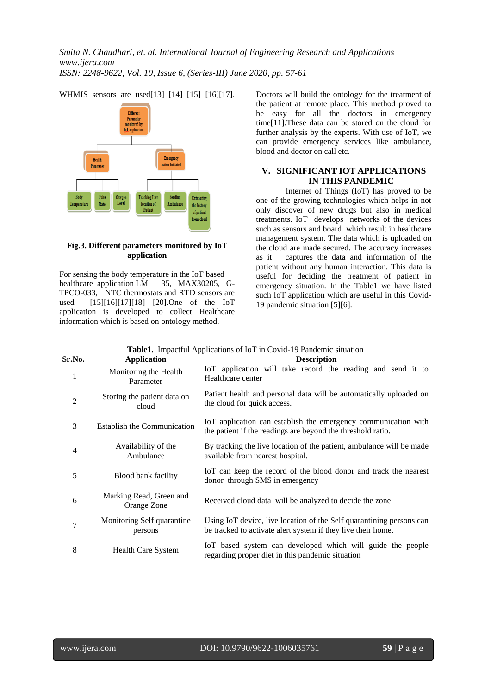

WHMIS sensors are used[13] [14] [15] [16][17].

#### **Fig.3. Different parameters monitored by IoT application**

For sensing the body temperature in the IoT based healthcare application LM 35, MAX30205, G-TPCO-033, NTC thermostats and RTD sensors are used [15][16][17][18] [20].One of the IoT application is developed to collect Healthcare information which is based on ontology method.

Doctors will build the ontology for the treatment of the patient at remote place. This method proved to be easy for all the doctors in emergency time[11].These data can be stored on the cloud for further analysis by the experts. With use of IoT, we can provide emergency services like ambulance, blood and doctor on call etc.

## **V. SIGNIFICANT IOT APPLICATIONS IN THIS PANDEMIC**

Internet of Things (IoT) has proved to be one of the growing technologies which helps in not only discover of new drugs but also in medical treatments. IoT develops networks of the devices such as sensors and board which result in healthcare management system. The data which is uploaded on the cloud are made secured. The accuracy increases as it captures the data and information of the captures the data and information of the patient without any human interaction. This data is useful for deciding the treatment of patient in emergency situation. In the Table1 we have listed such IoT application which are useful in this Covid-19 pandemic situation [5][6].

| <b>Table1.</b> Impactful Applications of IoT in Covid-19 Pandemic situation |                                        |                                                                                                                                      |
|-----------------------------------------------------------------------------|----------------------------------------|--------------------------------------------------------------------------------------------------------------------------------------|
| Sr.No.                                                                      | <b>Application</b>                     | <b>Description</b>                                                                                                                   |
| 1                                                                           | Monitoring the Health<br>Parameter     | IoT application will take record the reading and send it to<br>Healthcare center                                                     |
| $\overline{2}$                                                              | Storing the patient data on<br>cloud   | Patient health and personal data will be automatically uploaded on<br>the cloud for quick access.                                    |
| 3                                                                           | <b>Establish the Communication</b>     | IoT application can establish the emergency communication with<br>the patient if the readings are beyond the threshold ratio.        |
| $\overline{4}$                                                              | Availability of the<br>Ambulance       | By tracking the live location of the patient, ambulance will be made<br>available from nearest hospital.                             |
| 5                                                                           | Blood bank facility                    | IoT can keep the record of the blood donor and track the nearest<br>donor through SMS in emergency                                   |
| 6                                                                           | Marking Read, Green and<br>Orange Zone | Received cloud data will be analyzed to decide the zone                                                                              |
| 7                                                                           | Monitoring Self quarantine<br>persons  | Using IoT device, live location of the Self quarantining persons can<br>be tracked to activate alert system if they live their home. |
| 8                                                                           | <b>Health Care System</b>              | IoT based system can developed which will guide the people<br>regarding proper diet in this pandemic situation                       |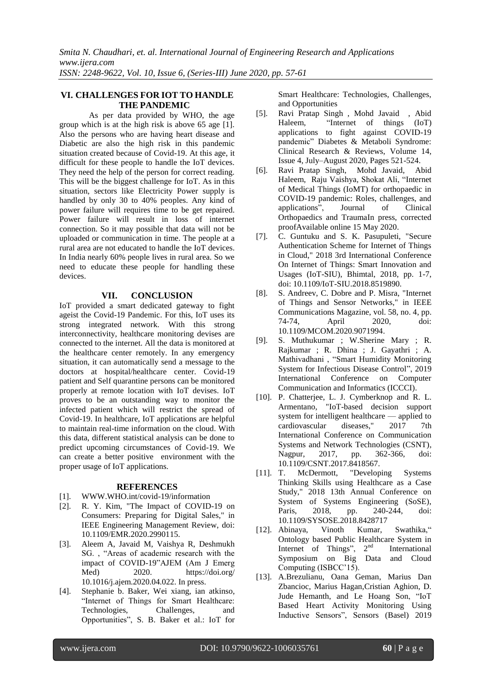## **VI. CHALLENGES FOR IOT TO HANDLE THE PANDEMIC**

As per data provided by WHO, the age group which is at the high risk is above 65 age [1]. Also the persons who are having heart disease and Diabetic are also the high risk in this pandemic situation created because of Covid-19. At this age, it difficult for these people to handle the IoT devices. They need the help of the person for correct reading. This will be the biggest challenge for IoT. As in this situation, sectors like Electricity Power supply is handled by only 30 to 40% peoples. Any kind of power failure will requires time to be get repaired. Power failure will result in loss of internet connection. So it may possible that data will not be uploaded or communication in time. The people at a rural area are not educated to handle the IoT devices. In India nearly 60% people lives in rural area. So we need to educate these people for handling these devices.

## **VII. CONCLUSION**

IoT provided a smart dedicated gateway to fight ageist the Covid-19 Pandemic. For this, IoT uses its strong integrated network. With this strong interconnectivity, healthcare monitoring devises are connected to the internet. All the data is monitored at the healthcare center remotely. In any emergency situation, it can automatically send a message to the doctors at hospital/healthcare center. Covid-19 patient and Self quarantine persons can be monitored properly at remote location with IoT devises. IoT proves to be an outstanding way to monitor the infected patient which will restrict the spread of Covid-19. In healthcare, IoT applications are helpful to maintain real-time information on the cloud. With this data, different statistical analysis can be done to predict upcoming circumstances of Covid-19. We can create a better positive environment with the proper usage of IoT applications.

#### **REFERENCES**

- [1]. [WWW.WHO.int/covid-19/information](http://www.who.int/covid-19/information)
- [2]. R. Y. Kim, "The Impact of COVID-19 on Consumers: Preparing for Digital Sales," in IEEE Engineering Management Review, doi: 10.1109/EMR.2020.2990115.
- [3]. Aleem A, Javaid M, Vaishya R, Deshmukh SG., "Areas of academic research with the impact of COVID-19"AJEM (Am J Emerg Med) 2020. <https://doi.org/> 10.1016/j.ajem.2020.04.022. In press.
- [4]. Stephanie b. Baker, Wei xiang, ian atkinso, "Internet of Things for Smart Healthcare: Technologies, Challenges, and Opportunities", S. B. Baker et al.: IoT for

Smart Healthcare: Technologies, Challenges, and Opportunities

- [5]. Ravi Pratap Singh , Mohd Javaid , Abid Haleem, "Internet of things (IoT) applications to fight against COVID-19 pandemic" Diabetes & Metaboli Syndrome: [Clinical Research & Reviews,](https://www.sciencedirect.com/science/journal/18714021) [Volume 14,](https://www.sciencedirect.com/science/journal/18714021/14/4)  [Issue 4,](https://www.sciencedirect.com/science/journal/18714021/14/4) July–August 2020, Pages 521-524.
- [6]. Ravi Pratap Singh, Mohd Javaid, Abid Haleem, Raju Vaishya, Shokat Ali, "Internet [of Medical Things \(IoMT\) for orthopaedic in](https://www.sciencedirect.com/science/article/pii/S097656622030179X)  [COVID-19 pandemic: Roles, challenges, and](https://www.sciencedirect.com/science/article/pii/S097656622030179X)  applications<sup>"</sup>, Journal of Clinical [Orthopaedics and TraumaI](https://www.sciencedirect.com/science/journal/09765662)n press, corrected proofAvailable online 15 May 2020.
- [7]. C. Guntuku and S. K. Pasupuleti, "Secure Authentication Scheme for Internet of Things in Cloud," 2018 3rd International Conference On Internet of Things: Smart Innovation and Usages (IoT-SIU), Bhimtal, 2018, pp. 1-7, doi: 10.1109/IoT-SIU.2018.8519890.
- [8]. S. Andreev, C. Dobre and P. Misra, "Internet of Things and Sensor Networks," in IEEE Communications Magazine, vol. 58, no. 4, pp. 74-74, April 2020, doi: 10.1109/MCOM.2020.9071994.
- [9]. [S. Muthukumar ;](https://ieeexplore.ieee.org/author/37086468451) [W.Sherine Mary ;](https://ieeexplore.ieee.org/author/37086467907) [R.](https://ieeexplore.ieee.org/author/37086956336)  [Rajkumar ;](https://ieeexplore.ieee.org/author/37086956336) [R. Dhina ;](https://ieeexplore.ieee.org/author/37086963179) [J. Gayathri ;](https://ieeexplore.ieee.org/author/37086956915) A. Mathivadhani, "Smart Humidity Monitoring System for Infectious Disease Control", 2019 [International Conference on Computer](https://ieeexplore.ieee.org/xpl/conhome/8811525/proceeding)  [Communication and Informatics \(ICCCI\).](https://ieeexplore.ieee.org/xpl/conhome/8811525/proceeding)
- [10]. P. Chatterjee, L. J. Cymberknop and R. L. Armentano, "IoT-based decision support system for intelligent healthcare — applied to cardiovascular diseases," 2017 7th International Conference on Communication Systems and Network Technologies (CSNT), Nagpur, 2017, pp. 362-366, doi: 10.1109/CSNT.2017.8418567.
- [11]. T. McDermott, "Developing Systems Thinking Skills using Healthcare as a Case Study," 2018 13th Annual Conference on System of Systems Engineering (SoSE), Paris, 2018, pp. 240-244, doi: 10.1109/SYSOSE.2018.8428717
- [12]. Abinaya, Vinoth Kumar, Swathika," Ontology based Public Healthcare System in Internet of Things",  $2<sup>nd</sup>$  International Symposium on Big Data and Cloud Computing (ISBCC'15).
- [13]. A.Brezulianu, [Oana Geman,](https://www.ncbi.nlm.nih.gov/pubmed/?term=Geman%20O%5BAuthor%5D&cauthor=true&cauthor_uid=31357390) [Marius Dan](https://www.ncbi.nlm.nih.gov/pubmed/?term=Zbancioc%20MD%5BAuthor%5D&cauthor=true&cauthor_uid=31357390)  [Zbancioc,](https://www.ncbi.nlm.nih.gov/pubmed/?term=Zbancioc%20MD%5BAuthor%5D&cauthor=true&cauthor_uid=31357390) [Marius Hagan,](https://www.ncbi.nlm.nih.gov/pubmed/?term=Hagan%20M%5BAuthor%5D&cauthor=true&cauthor_uid=31357390)[Cristian Aghion,](https://www.ncbi.nlm.nih.gov/pubmed/?term=Aghion%20C%5BAuthor%5D&cauthor=true&cauthor_uid=31357390) [D.](https://www.ncbi.nlm.nih.gov/pubmed/?term=Hemanth%20DJ%5BAuthor%5D&cauthor=true&cauthor_uid=31357390)  [Jude Hemanth,](https://www.ncbi.nlm.nih.gov/pubmed/?term=Hemanth%20DJ%5BAuthor%5D&cauthor=true&cauthor_uid=31357390) and [Le Hoang Son,](https://www.ncbi.nlm.nih.gov/pubmed/?term=Son%20LH%5BAuthor%5D&cauthor=true&cauthor_uid=31357390) "IoT Based Heart Activity Monitoring Using Inductive Sensors", Sensors (Basel) 2019